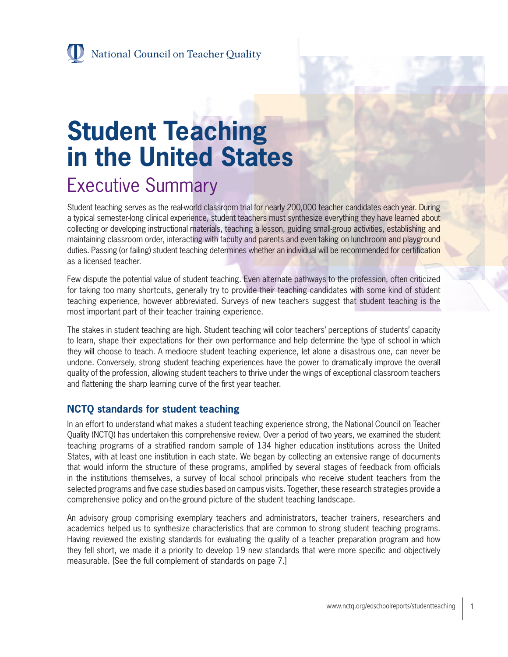# **Student Teaching in the United States**

# Executive Summary

Student teaching serves as the real-world classroom trial for nearly 200,000 teacher candidates each year. During a typical semester-long clinical experience, student teachers must synthesize everything they have learned about collecting or developing instructional materials, teaching a lesson, guiding small-group activities, establishing and maintaining classroom order, interacting with faculty and parents and even taking on lunchroom and playground duties. Passing (or failing) student teaching determines whether an individual will be recommended for certification as a licensed teacher.

Few dispute the potential value of student teaching. Even alternate pathways to the profession, often criticized for taking too many shortcuts, generally try to provide their teaching candidates with some kind of student teaching experience, however abbreviated. Surveys of new teachers suggest that student teaching is the most important part of their teacher training experience.

The stakes in student teaching are high. Student teaching will color teachers' perceptions of students' capacity to learn, shape their expectations for their own performance and help determine the type of school in which they will choose to teach. A mediocre student teaching experience, let alone a disastrous one, can never be undone. Conversely, strong student teaching experiences have the power to dramatically improve the overall quality of the profession, allowing student teachers to thrive under the wings of exceptional classroom teachers and flattening the sharp learning curve of the first year teacher.

# **NCTQ standards for student teaching**

In an effort to understand what makes a student teaching experience strong, the National Council on Teacher Quality (NCTQ) has undertaken this comprehensive review. Over a period of two years, we examined the student teaching programs of a stratified random sample of 134 higher education institutions across the United States, with at least one institution in each state. We began by collecting an extensive range of documents that would inform the structure of these programs, amplified by several stages of feedback from officials in the institutions themselves, a survey of local school principals who receive student teachers from the selected programs and five case studies based on campus visits. Together, these research strategies provide a comprehensive policy and on-the-ground picture of the student teaching landscape.

An advisory group comprising exemplary teachers and administrators, teacher trainers, researchers and academics helped us to synthesize characteristics that are common to strong student teaching programs. Having reviewed the existing standards for evaluating the quality of a teacher preparation program and how they fell short, we made it a priority to develop 19 new standards that were more specific and objectively measurable. [See the full complement of standards on page 7.]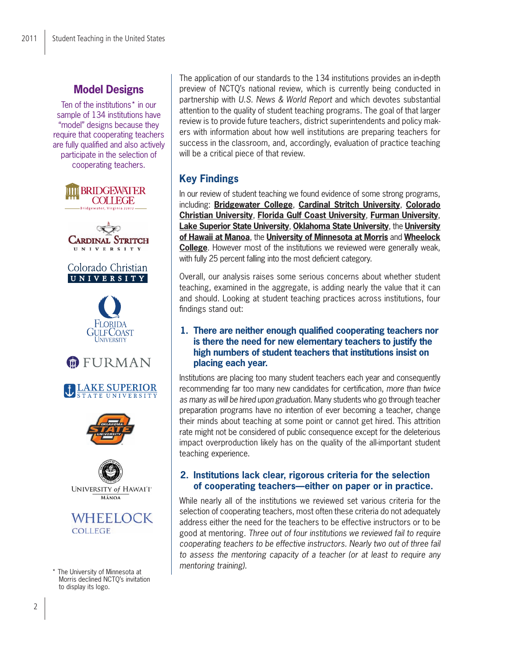# **Model Designs**

Ten of the institutions\* in our sample of 134 institutions have "model" designs because they require that cooperating teachers are fully qualified and also actively participate in the selection of cooperating teachers.





# Colorado Christian UNIVERSITY













The University of Minnesota at Morris declined NCTQ's invitation to display its logo.

The application of our standards to the 134 institutions provides an in-depth preview of NCTQ's national review, which is currently being conducted in partnership with *U.S. News & World Report* and which devotes substantial attention to the quality of student teaching programs. The goal of that larger review is to provide future teachers, district superintendents and policy makers with information about how well institutions are preparing teachers for success in the classroom, and, accordingly, evaluation of practice teaching will be a critical piece of that review.

# **Key Findings**

In our review of student teaching we found evidence of some strong programs, including: **Bridgewater College**, **Cardinal Stritch University**, **Colorado Christian University**, **Florida Gulf Coast University**, **Furman University**, **Lake Superior State University**, **Oklahoma State University**, the **University of Hawaii at Manoa**, the **University of Minnesota at Morris** and **Wheelock College**. However most of the institutions we reviewed were generally weak, with fully 25 percent falling into the most deficient category.

Overall, our analysis raises some serious concerns about whether student teaching, examined in the aggregate, is adding nearly the value that it can and should. Looking at student teaching practices across institutions, four findings stand out:

#### **1. There are neither enough qualified cooperating teachers nor is there the need for new elementary teachers to justify the high numbers of student teachers that institutions insist on placing each year.**

Institutions are placing too many student teachers each year and consequently recommending far too many new candidates for certification, *more than twice as many as will be hired upon graduation*. Many students who go through teacher preparation programs have no intention of ever becoming a teacher, change their minds about teaching at some point or cannot get hired. This attrition rate might not be considered of public consequence except for the deleterious impact overproduction likely has on the quality of the all-important student teaching experience.

## **2. Institutions lack clear, rigorous criteria for the selection of cooperating teachers—either on paper or in practice.**

While nearly all of the institutions we reviewed set various criteria for the selection of cooperating teachers, most often these criteria do not adequately address either the need for the teachers to be effective instructors or to be good at mentoring. *Three out of four institutions we reviewed fail to require cooperating teachers to be effective instructors. Nearly two out of three fail to assess the mentoring capacity of a teacher (or at least to require any mentoring training).*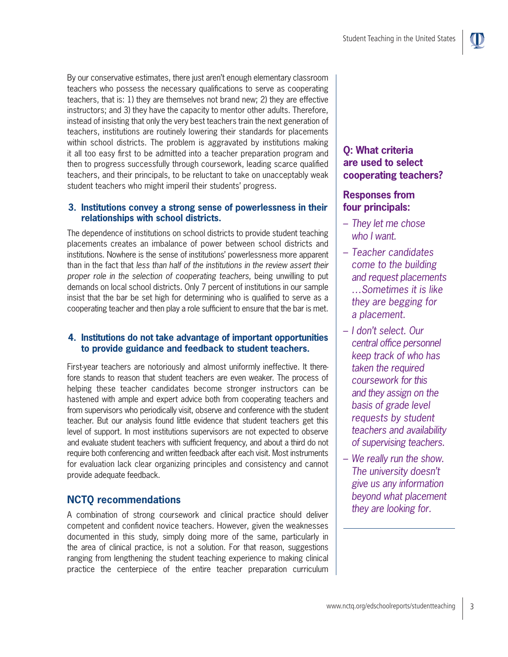By our conservative estimates, there just aren't enough elementary classroom teachers who possess the necessary qualifications to serve as cooperating teachers, that is: 1) they are themselves not brand new; 2) they are effective instructors; and 3) they have the capacity to mentor other adults. Therefore, instead of insisting that only the very best teachers train the next generation of teachers, institutions are routinely lowering their standards for placements within school districts. The problem is aggravated by institutions making it all too easy first to be admitted into a teacher preparation program and then to progress successfully through coursework, leading scarce qualified teachers, and their principals, to be reluctant to take on unacceptably weak student teachers who might imperil their students' progress.

#### **3. Institutions convey a strong sense of powerlessness in their relationships with school districts.**

The dependence of institutions on school districts to provide student teaching placements creates an imbalance of power between school districts and institutions. Nowhere is the sense of institutions' powerlessness more apparent than in the fact that *less than half of the institutions in the review assert their proper role in the selection of cooperating teachers*, being unwilling to put demands on local school districts. Only 7 percent of institutions in our sample insist that the bar be set high for determining who is qualified to serve as a cooperating teacher and then play a role sufficient to ensure that the bar is met.

#### **4. Institutions do not take advantage of important opportunities to provide guidance and feedback to student teachers.**

First-year teachers are notoriously and almost uniformly ineffective. It therefore stands to reason that student teachers are even weaker. The process of helping these teacher candidates become stronger instructors can be hastened with ample and expert advice both from cooperating teachers and from supervisors who periodically visit, observe and conference with the student teacher. But our analysis found little evidence that student teachers get this level of support. In most institutions supervisors are not expected to observe and evaluate student teachers with sufficient frequency, and about a third do not require both conferencing and written feedback after each visit. Most instruments for evaluation lack clear organizing principles and consistency and cannot provide adequate feedback.

# **NCTQ recommendations**

A combination of strong coursework and clinical practice should deliver competent and confident novice teachers. However, given the weaknesses documented in this study, simply doing more of the same, particularly in the area of clinical practice, is not a solution. For that reason, suggestions ranging from lengthening the student teaching experience to making clinical practice the centerpiece of the entire teacher preparation curriculum

# **Q: What criteria are used to select cooperating teachers?**

# **Responses from four principals:**

- *They let me chose who I want.*
- *Teacher candidates come to the building and request placements …Sometimes it is like they are begging for a placement.*
- *I don't select. Our central office personnel keep track of who has taken the required coursework for this and they assign on the basis of grade level requests by student teachers and availability of supervising teachers.*
- *We really run the show. The university doesn't give us any information beyond what placement they are looking for.*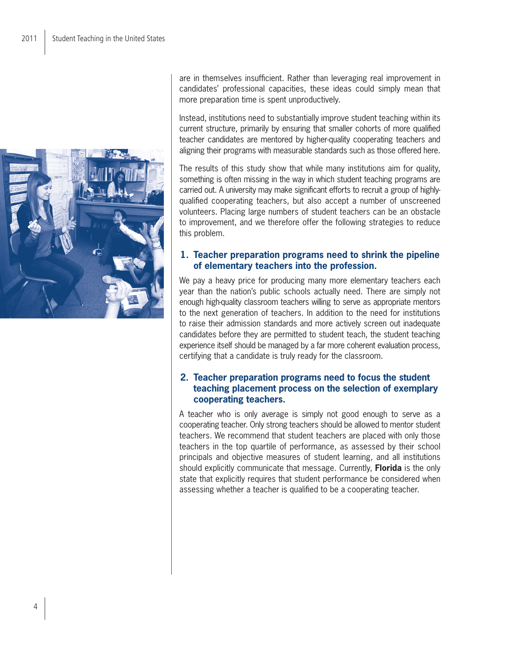

are in themselves insufficient. Rather than leveraging real improvement in candidates' professional capacities, these ideas could simply mean that more preparation time is spent unproductively.

Instead, institutions need to substantially improve student teaching within its current structure, primarily by ensuring that smaller cohorts of more qualified teacher candidates are mentored by higher-quality cooperating teachers and aligning their programs with measurable standards such as those offered here.

The results of this study show that while many institutions aim for quality, something is often missing in the way in which student teaching programs are carried out. A university may make significant efforts to recruit a group of highlyqualified cooperating teachers, but also accept a number of unscreened volunteers. Placing large numbers of student teachers can be an obstacle to improvement, and we therefore offer the following strategies to reduce this problem.

# **1. Teacher preparation programs need to shrink the pipeline of elementary teachers into the profession.**

We pay a heavy price for producing many more elementary teachers each year than the nation's public schools actually need. There are simply not enough high-quality classroom teachers willing to serve as appropriate mentors to the next generation of teachers. In addition to the need for institutions to raise their admission standards and more actively screen out inadequate candidates before they are permitted to student teach, the student teaching experience itself should be managed by a far more coherent evaluation process, certifying that a candidate is truly ready for the classroom.

## **2. Teacher preparation programs need to focus the student teaching placement process on the selection of exemplary cooperating teachers.**

A teacher who is only average is simply not good enough to serve as a cooperating teacher. Only strong teachers should be allowed to mentor student teachers. We recommend that student teachers are placed with only those teachers in the top quartile of performance, as assessed by their school principals and objective measures of student learning, and all institutions should explicitly communicate that message. Currently, **Florida** is the only state that explicitly requires that student performance be considered when assessing whether a teacher is qualified to be a cooperating teacher.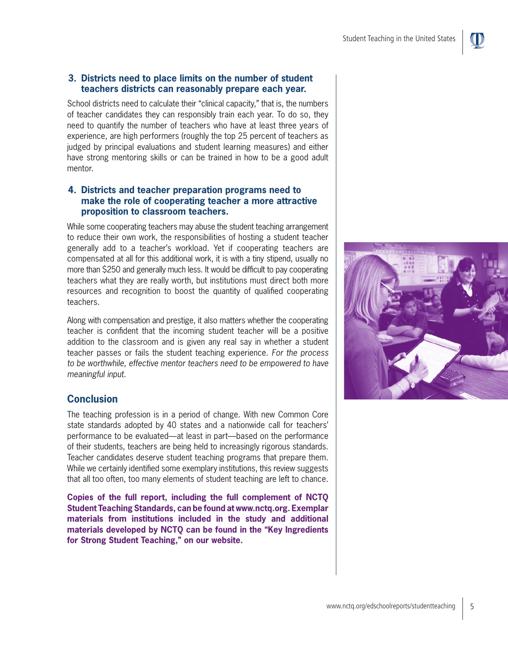#### **3. Districts need to place limits on the number of student teachers districts can reasonably prepare each year.**

School districts need to calculate their "clinical capacity," that is, the numbers of teacher candidates they can responsibly train each year. To do so, they need to quantify the number of teachers who have at least three years of experience, are high performers (roughly the top 25 percent of teachers as judged by principal evaluations and student learning measures) and either have strong mentoring skills or can be trained in how to be a good adult mentor.

# **4. Districts and teacher preparation programs need to make the role of cooperating teacher a more attractive proposition to classroom teachers.**

While some cooperating teachers may abuse the student teaching arrangement to reduce their own work, the responsibilities of hosting a student teacher generally add to a teacher's workload. Yet if cooperating teachers are compensated at all for this additional work, it is with a tiny stipend, usually no more than \$250 and generally much less. It would be difficult to pay cooperating teachers what they are really worth, but institutions must direct both more resources and recognition to boost the quantity of qualified cooperating teachers.

Along with compensation and prestige, it also matters whether the cooperating teacher is confident that the incoming student teacher will be a positive addition to the classroom and is given any real say in whether a student teacher passes or fails the student teaching experience. *For the process to be worthwhile, effective mentor teachers need to be empowered to have meaningful input.*

# **Conclusion**

The teaching profession is in a period of change. With new Common Core state standards adopted by 40 states and a nationwide call for teachers' performance to be evaluated—at least in part—based on the performance of their students, teachers are being held to increasingly rigorous standards. Teacher candidates deserve student teaching programs that prepare them. While we certainly identified some exemplary institutions, this review suggests that all too often, too many elements of student teaching are left to chance.

**Copies of the full report, including the full complement of NCTQ Student Teaching Standards, can be found at www.nctq.org. Exemplar materials from institutions included in the study and additional materials developed by NCTQ can be found in the "Key Ingredients for Strong Student Teaching," on our website.**



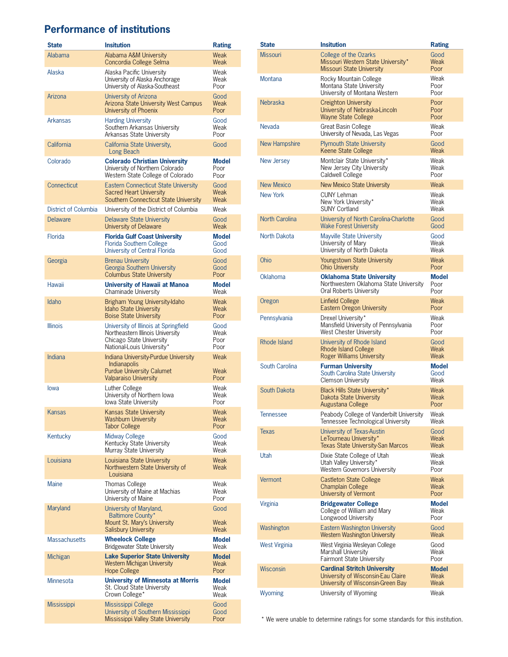# **Performance of institutions**

| <b>State</b>         | <b>Insitution</b>                                                                                                                   | <b>Rating</b>                |
|----------------------|-------------------------------------------------------------------------------------------------------------------------------------|------------------------------|
| Alabama              | Alabama A&M University<br>Concordia College Selma                                                                                   | Weak<br>Weak                 |
| Alaska               | Alaska Pacific University<br>University of Alaska Anchorage<br>University of Alaska-Southeast                                       | Weak<br>Weak<br>Poor         |
| Arizona              | University of Arizona<br><b>Arizona State University West Campus</b><br>University of Phoenix                                       | Good<br>Weak<br>Poor         |
| Arkansas             | <b>Harding University</b><br>Southern Arkansas University<br>Arkansas State University                                              | Good<br>Weak<br>Poor         |
| California           | California State University.<br>Long Beach                                                                                          | Good                         |
| Colorado             | <b>Colorado Christian University</b><br>University of Northern Colorado<br>Western State College of Colorado                        | <b>Model</b><br>Poor<br>Poor |
| Connecticut          | <b>Eastern Connecticut State University</b><br><b>Sacred Heart University</b><br><b>Southern Connecticut State University</b>       | Good<br>Weak<br>Weak         |
| District of Columbia | University of the District of Columbia                                                                                              | Weak                         |
| <b>Delaware</b>      | <b>Delaware State University</b><br>University of Delaware                                                                          | Good<br>Weak                 |
| Florida              | <b>Florida Gulf Coast University</b><br><b>Florida Southern College</b><br>University of Central Florida                            | <b>Model</b><br>Good<br>Good |
| Georgia              | <b>Brenau University</b><br><b>Georgia Southern University</b><br><b>Columbus State University</b>                                  | Good<br>Good<br>Poor         |
| Hawaii               | <b>University of Hawaii at Manoa</b><br>Chaminade University                                                                        | <b>Model</b><br>Weak         |
| Idaho                | Brigham Young University-Idaho<br><b>Idaho State University</b><br><b>Boise State University</b>                                    | Weak<br>Weak<br>Poor         |
| <b>Illinois</b>      | University of Illinois at Springfield<br>Northeastern Illinois University<br>Chicago State University<br>National-Louis University* | Good<br>Weak<br>Poor<br>Poor |
| Indiana              | Indiana University-Purdue University<br>Indianapolis<br><b>Purdue University Calumet</b><br><b>Valparaiso University</b>            | Weak<br>Weak<br>Poor         |
| lowa                 | Luther College<br>University of Northern Iowa<br>Iowa State University                                                              | Weak<br>Weak<br>Poor         |
| Kansas               | Kansas State University<br><b>Washburn University</b><br><b>Tabor College</b>                                                       | Weak<br>Weak<br>Poor         |
| Kentucky             | <b>Midway College</b><br>Kentucky State University<br>Murray State University                                                       | Good<br>Weak<br>Weak         |
| Louisiana            | Louisiana State University<br>Northwestern State University of<br>Louisiana                                                         | Weak<br>Weak                 |
| <b>Maine</b>         | <b>Thomas College</b><br>University of Maine at Machias<br>University of Maine                                                      | Weak<br>Weak<br>Poor         |
| Maryland             | University of Maryland,<br>Baltimore County*<br>Mount St. Mary's University<br><b>Salisbury University</b>                          | Good<br>Weak<br>Weak         |
| <b>Massachusetts</b> | <b>Wheelock College</b><br><b>Bridgewater State University</b>                                                                      | <b>Model</b><br>Weak         |
| Michigan             | <b>Lake Superior State University</b><br><b>Western Michigan University</b><br><b>Hope College</b>                                  | <b>Model</b><br>Weak<br>Poor |
| <b>Minnesota</b>     | <b>University of Minnesota at Morris</b><br>St. Cloud State University<br>Crown College*                                            | <b>Model</b><br>Weak<br>Weak |
| <b>Mississippi</b>   | Mississippi College<br>University of Southern Mississippi<br>Mississippi Valley State University                                    | Good<br>Good<br>Poor         |

| State                 | <b>Insitution</b>                                                                                             | Rating                       |
|-----------------------|---------------------------------------------------------------------------------------------------------------|------------------------------|
| <b>Missouri</b>       | College of the Ozarks<br>Missouri Western State University*<br>Missouri State University                      | Good<br>Weak<br>Poor         |
| Montana               | Rocky Mountain College<br>Montana State University<br>University of Montana Western                           | Weak<br>Poor<br>Poor         |
| <b>Nebraska</b>       | <b>Creighton University</b><br>University of Nebraska-Lincoln<br><b>Wayne State College</b>                   | Poor<br>Poor<br>Poor         |
| Nevada                | Great Basin College<br>University of Nevada, Las Vegas                                                        | Weak<br>Poor                 |
| <b>New Hampshire</b>  | <b>Plymouth State University</b><br>Keene State College                                                       | Good<br>Weak                 |
| <b>New Jersey</b>     | Montclair State University*<br>New Jersey City University<br><b>Caldwell College</b>                          | Weak<br>Weak<br>Poor         |
| <b>New Mexico</b>     | <b>New Mexico State University</b>                                                                            | Weak                         |
| <b>New York</b>       | <b>CUNY Lehman</b><br>New York University*<br><b>SUNY Cortland</b>                                            | Weak<br>Weak<br>Weak         |
| <b>North Carolina</b> | University of North Carolina-Charlotte<br><b>Wake Forest University</b>                                       | Good<br>Good                 |
| North Dakota          | <b>Mayville State University</b><br>University of Mary<br>University of North Dakota                          | Good<br>Weak<br>Weak         |
| Ohio                  | <b>Youngstown State University</b><br><b>Ohio University</b>                                                  | Weak<br>Poor                 |
| Oklahoma              | <b>Oklahoma State University</b><br>Northwestern Oklahoma State University<br>Oral Roberts University         | <b>Model</b><br>Poor<br>Poor |
| Oregon                | Linfield College<br><b>Eastern Oregon University</b>                                                          | Weak<br>Poor                 |
| Pennsylvania          | Drexel University*<br>Mansfield University of Pennsylvania<br>West Chester University                         | Weak<br>Poor<br>Poor         |
| <b>Rhode Island</b>   | University of Rhode Island<br><b>Rhode Island College</b><br><b>Roger Williams University</b>                 | Good<br>Weak<br>Weak         |
| South Carolina        | <b>Furman University</b><br>South Carolina State University<br><b>Clemson University</b>                      | <b>Model</b><br>Good<br>Weak |
| South Dakota          | Black Hills State University*<br>Dakota State University<br>Augustana College                                 | Weak<br>Weak<br>Poor         |
| <b>Tennessee</b>      | Peabody College of Vanderbilt University<br>Tennessee Technological University                                | Weak<br>Weak                 |
| <b>Texas</b>          | University of Texas-Austin<br>LeTourneau University*<br><b>Texas State University-San Marcos</b>              | Good<br>Weak<br>Weak         |
| Utah                  | Dixie State College of Utah<br>Utah Valley University*<br><b>Western Governors University</b>                 | Weak<br>Weak<br>Poor         |
| Vermont               | <b>Castleton State College</b><br><b>Champlain College</b><br>University of Vermont                           | Weak<br>Weak<br>Poor         |
| Virginia              | <b>Bridgewater College</b><br>College of William and Mary<br>Longwood University                              | <b>Model</b><br>Weak<br>Poor |
| Washington            | <b>Eastern Washington University</b><br><b>Western Washington University</b>                                  | Good<br>Weak                 |
| West Virginia         | West Virginia Wesleyan College<br>Marshall University<br><b>Fairmont State University</b>                     | Good<br>Weak<br>Poor         |
| <b>Wisconsin</b>      | <b>Cardinal Stritch University</b><br>University of Wisconsin-Eau Claire<br>University of Wisconsin-Green Bay | <b>Model</b><br>Weak<br>Weak |
| Wyoming               | University of Wyoming                                                                                         | Weak                         |

\* We were unable to determine ratings for some standards for this institution.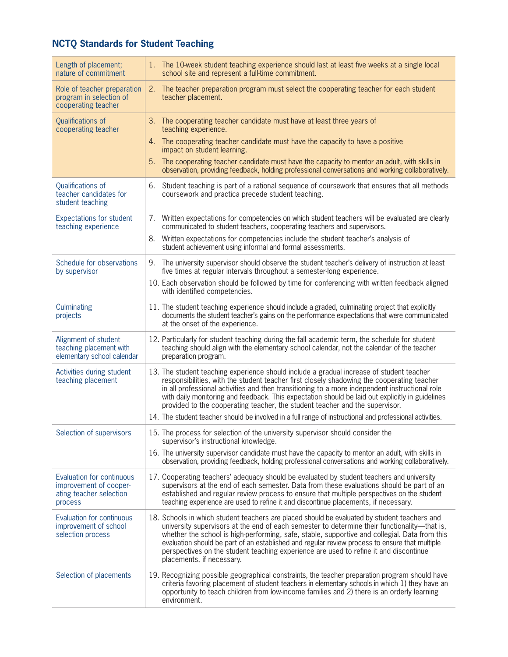# **NCTQ Standards for Student Teaching**

| Length of placement;<br>nature of commitment                                              | 1. The 10-week student teaching experience should last at least five weeks at a single local<br>school site and represent a full-time commitment.                                                                                                                                                                                                                                                                                                                                                                                                                                        |
|-------------------------------------------------------------------------------------------|------------------------------------------------------------------------------------------------------------------------------------------------------------------------------------------------------------------------------------------------------------------------------------------------------------------------------------------------------------------------------------------------------------------------------------------------------------------------------------------------------------------------------------------------------------------------------------------|
| Role of teacher preparation<br>program in selection of<br>cooperating teacher             | 2. The teacher preparation program must select the cooperating teacher for each student<br>teacher placement.                                                                                                                                                                                                                                                                                                                                                                                                                                                                            |
| Qualifications of<br>cooperating teacher                                                  | The cooperating teacher candidate must have at least three years of<br>3.<br>teaching experience.<br>The cooperating teacher candidate must have the capacity to have a positive<br>4.<br>impact on student learning.<br>The cooperating teacher candidate must have the capacity to mentor an adult, with skills in<br>5.<br>observation, providing feedback, holding professional conversations and working collaboratively.                                                                                                                                                           |
| Qualifications of<br>teacher candidates for<br>student teaching                           | Student teaching is part of a rational sequence of coursework that ensures that all methods<br>6.<br>coursework and practica precede student teaching.                                                                                                                                                                                                                                                                                                                                                                                                                                   |
| <b>Expectations for student</b><br>teaching experience                                    | 7. Written expectations for competencies on which student teachers will be evaluated are clearly<br>communicated to student teachers, cooperating teachers and supervisors.<br>Written expectations for competencies include the student teacher's analysis of<br>8.<br>student achievement using informal and formal assessments.                                                                                                                                                                                                                                                       |
| Schedule for observations<br>by supervisor                                                | 9. The university supervisor should observe the student teacher's delivery of instruction at least<br>five times at regular intervals throughout a semester-long experience.<br>10. Each observation should be followed by time for conferencing with written feedback aligned<br>with identified competencies.                                                                                                                                                                                                                                                                          |
| Culminating<br>projects                                                                   | 11. The student teaching experience should include a graded, culminating project that explicitly<br>documents the student teacher's gains on the performance expectations that were communicated<br>at the onset of the experience.                                                                                                                                                                                                                                                                                                                                                      |
| Alignment of student<br>teaching placement with<br>elementary school calendar             | 12. Particularly for student teaching during the fall academic term, the schedule for student<br>teaching should align with the elementary school calendar, not the calendar of the teacher<br>preparation program.                                                                                                                                                                                                                                                                                                                                                                      |
| Activities during student<br>teaching placement                                           | 13. The student teaching experience should include a gradual increase of student teacher<br>responsibilities, with the student teacher first closely shadowing the cooperating teacher<br>in all professional activities and then transitioning to a more independent instructional role<br>with daily monitoring and feedback. This expectation should be laid out explicitly in guidelines<br>provided to the cooperating teacher, the student teacher and the supervisor.<br>14. The student teacher should be involved in a full range of instructional and professional activities. |
| Selection of supervisors                                                                  | 15. The process for selection of the university supervisor should consider the<br>supervisor's instructional knowledge.                                                                                                                                                                                                                                                                                                                                                                                                                                                                  |
|                                                                                           | 16. The university supervisor candidate must have the capacity to mentor an adult, with skills in<br>observation, providing feedback, holding professional conversations and working collaboratively.                                                                                                                                                                                                                                                                                                                                                                                    |
| Evaluation for continuous<br>improvement of cooper-<br>ating teacher selection<br>process | 17. Cooperating teachers' adequacy should be evaluated by student teachers and university<br>supervisors at the end of each semester. Data from these evaluations should be part of an<br>established and regular review process to ensure that multiple perspectives on the student<br>teaching experience are used to refine it and discontinue placements, if necessary.                                                                                                                                                                                                              |
| Evaluation for continuous<br>improvement of school<br>selection process                   | 18. Schools in which student teachers are placed should be evaluated by student teachers and<br>university supervisors at the end of each semester to determine their functionality—that is,<br>whether the school is high-performing, safe, stable, supportive and collegial. Data from this<br>evaluation should be part of an established and regular review process to ensure that multiple<br>perspectives on the student teaching experience are used to refine it and discontinue<br>placements, if necessary.                                                                    |
| Selection of placements                                                                   | 19. Recognizing possible geographical constraints, the teacher preparation program should have<br>criteria favoring placement of student teachers in elementary schools in which 1) they have an<br>opportunity to teach children from low-income families and 2) there is an orderly learning<br>environment.                                                                                                                                                                                                                                                                           |